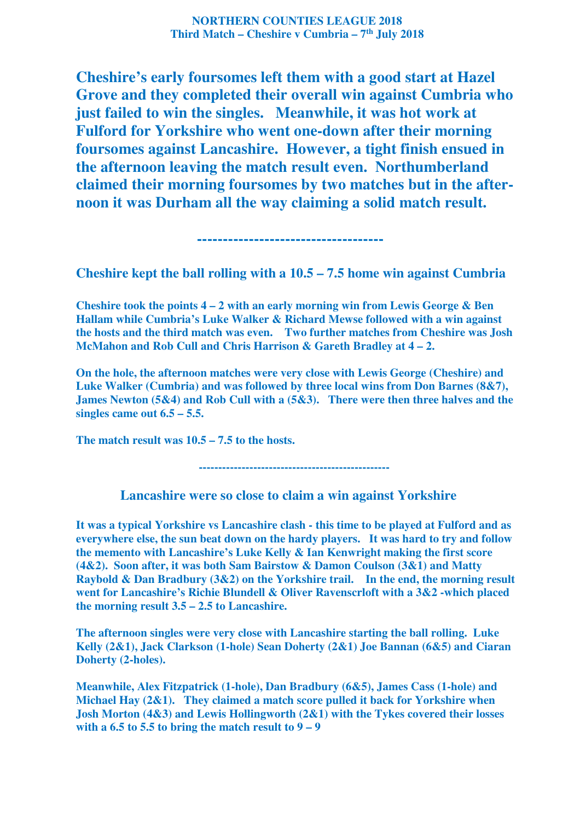**NORTHERN COUNTIES LEAGUE 2018 Third Match – Cheshire v Cumbria – 7th July 2018** 

**Cheshire's early foursomes left them with a good start at Hazel Grove and they completed their overall win against Cumbria who just failed to win the singles. Meanwhile, it was hot work at Fulford for Yorkshire who went one-down after their morning foursomes against Lancashire. However, a tight finish ensued in the afternoon leaving the match result even. Northumberland claimed their morning foursomes by two matches but in the afternoon it was Durham all the way claiming a solid match result.** 

**Cheshire kept the ball rolling with a 10.5 – 7.5 home win against Cumbria** 

 **------------------------------------** 

**Cheshire took the points 4 – 2 with an early morning win from Lewis George & Ben Hallam while Cumbria's Luke Walker & Richard Mewse followed with a win against the hosts and the third match was even. Two further matches from Cheshire was Josh McMahon and Rob Cull and Chris Harrison & Gareth Bradley at 4 – 2.** 

**On the hole, the afternoon matches were very close with Lewis George (Cheshire) and Luke Walker (Cumbria) and was followed by three local wins from Don Barnes (8&7), James Newton (5&4) and Rob Cull with a (5&3). There were then three halves and the singles came out 6.5 – 5.5.** 

**The match result was 10.5 – 7.5 to the hosts.** 

 **-------------------------------------------------** 

 **Lancashire were so close to claim a win against Yorkshire** 

**It was a typical Yorkshire vs Lancashire clash - this time to be played at Fulford and as everywhere else, the sun beat down on the hardy players. It was hard to try and follow the memento with Lancashire's Luke Kelly & Ian Kenwright making the first score (4&2). Soon after, it was both Sam Bairstow & Damon Coulson (3&1) and Matty Raybold & Dan Bradbury (3&2) on the Yorkshire trail. In the end, the morning result went for Lancashire's Richie Blundell & Oliver Ravenscrloft with a 3&2 -which placed the morning result 3.5 – 2.5 to Lancashire.** 

**The afternoon singles were very close with Lancashire starting the ball rolling. Luke Kelly (2&1), Jack Clarkson (1-hole) Sean Doherty (2&1) Joe Bannan (6&5) and Ciaran Doherty (2-holes).** 

**Meanwhile, Alex Fitzpatrick (1-hole), Dan Bradbury (6&5), James Cass (1-hole) and Michael Hay (2&1). They claimed a match score pulled it back for Yorkshire when Josh Morton (4&3) and Lewis Hollingworth (2&1) with the Tykes covered their losses**  with a  $6.5$  to  $5.5$  to bring the match result to  $9 - 9$